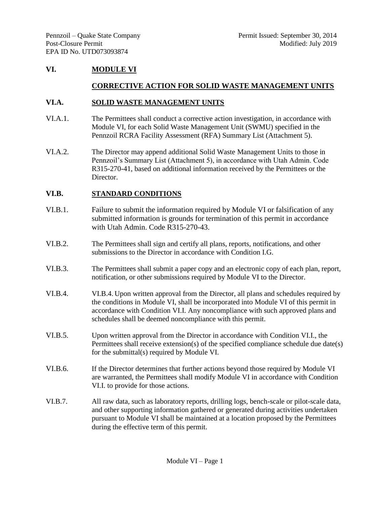# **VI. MODULE VI**

### **CORRECTIVE ACTION FOR SOLID WASTE MANAGEMENT UNITS**

#### **VI.A. SOLID WASTE MANAGEMENT UNITS**

- VI.A.1. The Permittees shall conduct a corrective action investigation, in accordance with Module VI, for each Solid Waste Management Unit (SWMU) specified in the Pennzoil RCRA Facility Assessment (RFA) Summary List (Attachment 5).
- VI.A.2. The Director may append additional Solid Waste Management Units to those in Pennzoil's Summary List (Attachment 5), in accordance with Utah Admin. Code R315-270-41, based on additional information received by the Permittees or the Director.

#### **VI.B. STANDARD CONDITIONS**

- VI.B.1. Failure to submit the information required by Module VI or falsification of any submitted information is grounds for termination of this permit in accordance with Utah Admin. Code R315-270-43.
- VI.B.2. The Permittees shall sign and certify all plans, reports, notifications, and other submissions to the Director in accordance with Condition I.G.
- VI.B.3. The Permittees shall submit a paper copy and an electronic copy of each plan, report, notification, or other submissions required by Module VI to the Director.
- VI.B.4. VI.B.4. Upon written approval from the Director, all plans and schedules required by the conditions in Module VI, shall be incorporated into Module VI of this permit in accordance with Condition VI.I. Any noncompliance with such approved plans and schedules shall be deemed noncompliance with this permit.
- VI.B.5. Upon written approval from the Director in accordance with Condition VI.I., the Permittees shall receive extension(s) of the specified compliance schedule due date(s) for the submittal(s) required by Module VI.
- VI.B.6. If the Director determines that further actions beyond those required by Module VI are warranted, the Permittees shall modify Module VI in accordance with Condition VI.I. to provide for those actions.
- VI.B.7. All raw data, such as laboratory reports, drilling logs, bench-scale or pilot-scale data, and other supporting information gathered or generated during activities undertaken pursuant to Module VI shall be maintained at a location proposed by the Permittees during the effective term of this permit.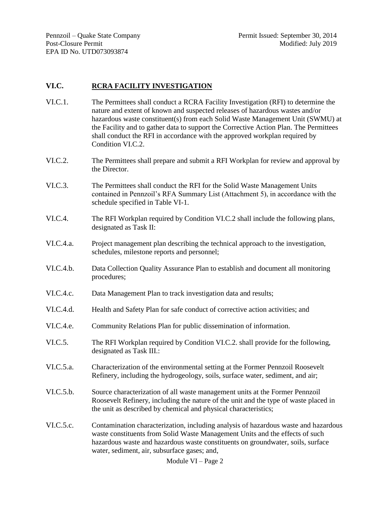## **VI.C. RCRA FACILITY INVESTIGATION**

- VI.C.1. The Permittees shall conduct a RCRA Facility Investigation (RFI) to determine the nature and extent of known and suspected releases of hazardous wastes and/or hazardous waste constituent(s) from each Solid Waste Management Unit (SWMU) at the Facility and to gather data to support the Corrective Action Plan. The Permittees shall conduct the RFI in accordance with the approved workplan required by Condition VI.C.2.
- VI.C.2. The Permittees shall prepare and submit a RFI Workplan for review and approval by the Director.
- VI.C.3. The Permittees shall conduct the RFI for the Solid Waste Management Units contained in Pennzoil's RFA Summary List (Attachment 5), in accordance with the schedule specified in Table VI-1.
- VI.C.4. The RFI Workplan required by Condition VI.C.2 shall include the following plans, designated as Task II:
- VI.C.4.a. Project management plan describing the technical approach to the investigation, schedules, milestone reports and personnel;
- VI.C.4.b. Data Collection Quality Assurance Plan to establish and document all monitoring procedures;
- VI.C.4.c. Data Management Plan to track investigation data and results;
- VI.C.4.d. Health and Safety Plan for safe conduct of corrective action activities; and
- VI.C.4.e. Community Relations Plan for public dissemination of information.
- VI.C.5. The RFI Workplan required by Condition VI.C.2. shall provide for the following, designated as Task III.:
- VI.C.5.a. Characterization of the environmental setting at the Former Pennzoil Roosevelt Refinery, including the hydrogeology, soils, surface water, sediment, and air;
- VI.C.5.b. Source characterization of all waste management units at the Former Pennzoil Roosevelt Refinery, including the nature of the unit and the type of waste placed in the unit as described by chemical and physical characteristics;
- VI.C.5.c. Contamination characterization, including analysis of hazardous waste and hazardous waste constituents from Solid Waste Management Units and the effects of such hazardous waste and hazardous waste constituents on groundwater, soils, surface water, sediment, air, subsurface gases; and,

Module VI – Page 2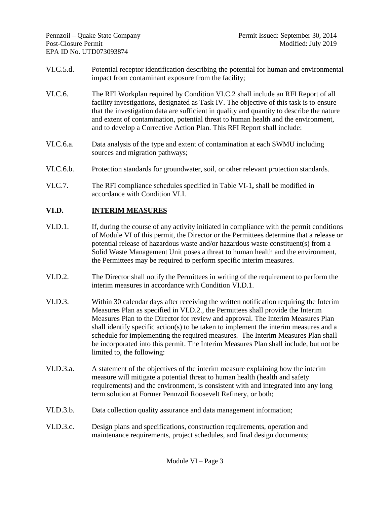- VI.C.5.d. Potential receptor identification describing the potential for human and environmental impact from contaminant exposure from the facility;
- VI.C.6. The RFI Workplan required by Condition VI.C.2 shall include an RFI Report of all facility investigations, designated as Task IV. The objective of this task is to ensure that the investigation data are sufficient in quality and quantity to describe the nature and extent of contamination, potential threat to human health and the environment, and to develop a Corrective Action Plan. This RFI Report shall include:
- VI.C.6.a. Data analysis of the type and extent of contamination at each SWMU including sources and migration pathways;
- VI.C.6.b. Protection standards for groundwater, soil, or other relevant protection standards.
- VI.C.7. The RFI compliance schedules specified in Table VI-1**,** shall be modified in accordance with Condition VI.I.

# **VI.D. INTERIM MEASURES**

- VI.D.1. If, during the course of any activity initiated in compliance with the permit conditions of Module VI of this permit, the Director or the Permittees determine that a release or potential release of hazardous waste and/or hazardous waste constituent(s) from a Solid Waste Management Unit poses a threat to human health and the environment, the Permittees may be required to perform specific interim measures.
- VI.D.2. The Director shall notify the Permittees in writing of the requirement to perform the interim measures in accordance with Condition VI.D.1.
- VI.D.3. Within 30 calendar days after receiving the written notification requiring the Interim Measures Plan as specified in VI.D.2., the Permittees shall provide the Interim Measures Plan to the Director for review and approval. The Interim Measures Plan shall identify specific action(s) to be taken to implement the interim measures and a schedule for implementing the required measures. The Interim Measures Plan shall be incorporated into this permit. The Interim Measures Plan shall include, but not be limited to, the following:
- VI.D.3.a. A statement of the objectives of the interim measure explaining how the interim measure will mitigate a potential threat to human health (health and safety requirements) and the environment, is consistent with and integrated into any long term solution at Former Pennzoil Roosevelt Refinery, or both;
- VI.D.3.b. Data collection quality assurance and data management information;
- VI.D.3.c. Design plans and specifications, construction requirements, operation and maintenance requirements, project schedules, and final design documents;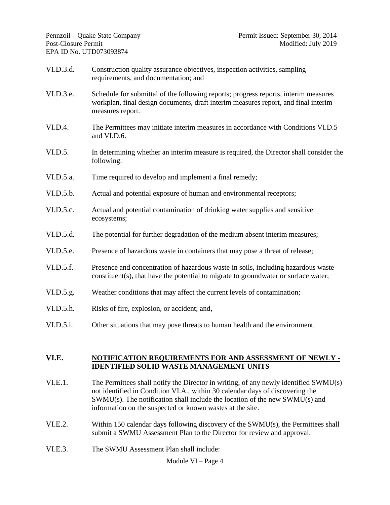- VI.D.3.d. Construction quality assurance objectives, inspection activities, sampling requirements, and documentation; and
- VI.D.3.e. Schedule for submittal of the following reports; progress reports, interim measures workplan, final design documents, draft interim measures report, and final interim measures report.
- VI.D.4. The Permittees may initiate interim measures in accordance with Conditions VI.D.5 and VI.D.6.
- VI.D.5. In determining whether an interim measure is required, the Director shall consider the following:
- VI.D.5.a. Time required to develop and implement a final remedy;
- VI.D.5.b. Actual and potential exposure of human and environmental receptors;
- VI.D.5.c. Actual and potential contamination of drinking water supplies and sensitive ecosystems;
- VI.D.5.d. The potential for further degradation of the medium absent interim measures;
- VI.D.5.e. Presence of hazardous waste in containers that may pose a threat of release;
- VI.D.5.f. Presence and concentration of hazardous waste in soils, including hazardous waste constituent(s), that have the potential to migrate to groundwater or surface water;
- VI.D.5.g. Weather conditions that may affect the current levels of contamination;
- VI.D.5.h. Risks of fire, explosion, or accident; and,
- VI.D.5.i. Other situations that may pose threats to human health and the environment.

#### **VI.E. NOTIFICATION REQUIREMENTS FOR AND ASSESSMENT OF NEWLY - IDENTIFIED SOLID WASTE MANAGEMENT UNITS**

- VI.E.1. The Permittees shall notify the Director in writing, of any newly identified SWMU(s) not identified in Condition VI.A., within 30 calendar days of discovering the SWMU(s). The notification shall include the location of the new SWMU(s) and information on the suspected or known wastes at the site.
- VI.E.2. Within 150 calendar days following discovery of the SWMU(s), the Permittees shall submit a SWMU Assessment Plan to the Director for review and approval.
- VI.E.3. The SWMU Assessment Plan shall include:

Module VI – Page 4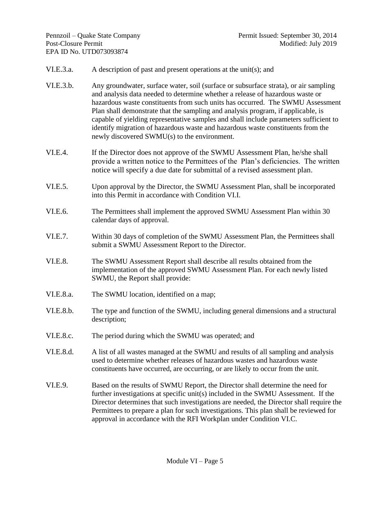- VI.E.3.a. A description of past and present operations at the unit(s); and
- VI.E.3.b. Any groundwater, surface water, soil (surface or subsurface strata), or air sampling and analysis data needed to determine whether a release of hazardous waste or hazardous waste constituents from such units has occurred. The SWMU Assessment Plan shall demonstrate that the sampling and analysis program, if applicable, is capable of yielding representative samples and shall include parameters sufficient to identify migration of hazardous waste and hazardous waste constituents from the newly discovered SWMU(s) to the environment.
- VI.E.4. If the Director does not approve of the SWMU Assessment Plan, he/she shall provide a written notice to the Permittees of the Plan's deficiencies. The written notice will specify a due date for submittal of a revised assessment plan.
- VI.E.5. Upon approval by the Director, the SWMU Assessment Plan, shall be incorporated into this Permit in accordance with Condition VI.I.
- VI.E.6. The Permittees shall implement the approved SWMU Assessment Plan within 30 calendar days of approval.
- VI.E.7. Within 30 days of completion of the SWMU Assessment Plan, the Permittees shall submit a SWMU Assessment Report to the Director.
- VI.E.8. The SWMU Assessment Report shall describe all results obtained from the implementation of the approved SWMU Assessment Plan. For each newly listed SWMU, the Report shall provide:
- VI.E.8.a. The SWMU location, identified on a map;
- VI.E.8.b. The type and function of the SWMU, including general dimensions and a structural description;
- VI.E.8.c. The period during which the SWMU was operated; and
- VI.E.8.d. A list of all wastes managed at the SWMU and results of all sampling and analysis used to determine whether releases of hazardous wastes and hazardous waste constituents have occurred, are occurring, or are likely to occur from the unit.
- VI.E.9. Based on the results of SWMU Report, the Director shall determine the need for further investigations at specific unit(s) included in the SWMU Assessment. If the Director determines that such investigations are needed, the Director shall require the Permittees to prepare a plan for such investigations. This plan shall be reviewed for approval in accordance with the RFI Workplan under Condition VI.C.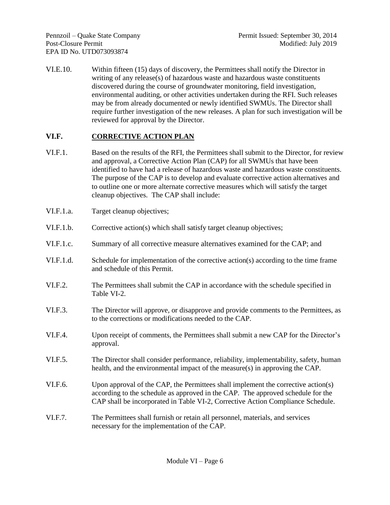VI.E.10. Within fifteen (15) days of discovery, the Permittees shall notify the Director in writing of any release(s) of hazardous waste and hazardous waste constituents discovered during the course of groundwater monitoring, field investigation, environmental auditing, or other activities undertaken during the RFI. Such releases may be from already documented or newly identified SWMUs. The Director shall require further investigation of the new releases. A plan for such investigation will be reviewed for approval by the Director.

# **VI.F. CORRECTIVE ACTION PLAN**

- VI.F.1. Based on the results of the RFI, the Permittees shall submit to the Director, for review and approval, a Corrective Action Plan (CAP) for all SWMUs that have been identified to have had a release of hazardous waste and hazardous waste constituents. The purpose of the CAP is to develop and evaluate corrective action alternatives and to outline one or more alternate corrective measures which will satisfy the target cleanup objectives. The CAP shall include:
- VI.F.1.a. Target cleanup objectives;
- VI.F.1.b. Corrective action(s) which shall satisfy target cleanup objectives;
- VI.F.1.c. Summary of all corrective measure alternatives examined for the CAP; and
- VI.F.1.d. Schedule for implementation of the corrective action(s) according to the time frame and schedule of this Permit.
- VI.F.2. The Permittees shall submit the CAP in accordance with the schedule specified in Table VI-2.
- VI.F.3. The Director will approve, or disapprove and provide comments to the Permittees, as to the corrections or modifications needed to the CAP.
- VI.F.4. Upon receipt of comments, the Permittees shall submit a new CAP for the Director's approval.
- VI.F.5. The Director shall consider performance, reliability, implementability, safety, human health, and the environmental impact of the measure(s) in approving the CAP.
- VI.F.6. Upon approval of the CAP, the Permittees shall implement the corrective action(s) according to the schedule as approved in the CAP. The approved schedule for the CAP shall be incorporated in Table VI-2, Corrective Action Compliance Schedule.
- VI.F.7. The Permittees shall furnish or retain all personnel, materials, and services necessary for the implementation of the CAP.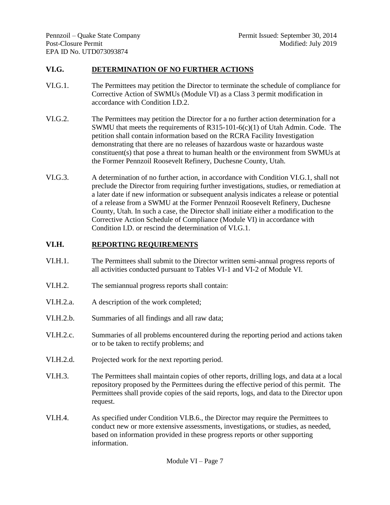### **VI.G. DETERMINATION OF NO FURTHER ACTIONS**

- VI.G.1. The Permittees may petition the Director to terminate the schedule of compliance for Corrective Action of SWMUs (Module VI) as a Class 3 permit modification in accordance with Condition I.D.2.
- VI.G.2. The Permittees may petition the Director for a no further action determination for a SWMU that meets the requirements of  $R315-101-6(c)(1)$  of Utah Admin. Code. The petition shall contain information based on the RCRA Facility Investigation demonstrating that there are no releases of hazardous waste or hazardous waste constituent(s) that pose a threat to human health or the environment from SWMUs at the Former Pennzoil Roosevelt Refinery, Duchesne County, Utah.
- VI.G.3. A determination of no further action, in accordance with Condition VI.G.1, shall not preclude the Director from requiring further investigations, studies, or remediation at a later date if new information or subsequent analysis indicates a release or potential of a release from a SWMU at the Former Pennzoil Roosevelt Refinery, Duchesne County, Utah. In such a case, the Director shall initiate either a modification to the Corrective Action Schedule of Compliance (Module VI) in accordance with Condition I.D. or rescind the determination of VI.G.1.

### **VI.H. REPORTING REQUIREMENTS**

- VI.H.1. The Permittees shall submit to the Director written semi-annual progress reports of all activities conducted pursuant to Tables VI-1 and VI-2 of Module VI.
- VI.H.2. The semiannual progress reports shall contain:
- VI.H.2.a. A description of the work completed;
- VI.H.2.b. Summaries of all findings and all raw data;
- VI.H.2.c. Summaries of all problems encountered during the reporting period and actions taken or to be taken to rectify problems; and
- VI.H.2.d. Projected work for the next reporting period.
- VI.H.3. The Permittees shall maintain copies of other reports, drilling logs, and data at a local repository proposed by the Permittees during the effective period of this permit. The Permittees shall provide copies of the said reports, logs, and data to the Director upon request.
- VI.H.4. As specified under Condition VI.B.6., the Director may require the Permittees to conduct new or more extensive assessments, investigations, or studies, as needed, based on information provided in these progress reports or other supporting information.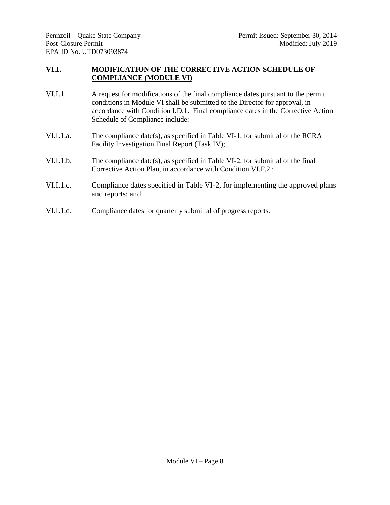### **VI.I. MODIFICATION OF THE CORRECTIVE ACTION SCHEDULE OF COMPLIANCE (MODULE VI)**

- VI.I.1. A request for modifications of the final compliance dates pursuant to the permit conditions in Module VI shall be submitted to the Director for approval, in accordance with Condition I.D.1. Final compliance dates in the Corrective Action Schedule of Compliance include:
- VI.I.1.a. The compliance date(s), as specified in Table VI-1, for submittal of the RCRA Facility Investigation Final Report (Task IV);
- VI.I.1.b. The compliance date(s), as specified in Table VI-2, for submittal of the final Corrective Action Plan, in accordance with Condition VI.F.2.;
- VI.I.1.c. Compliance dates specified in Table VI-2, for implementing the approved plans and reports; and
- VI.I.1.d. Compliance dates for quarterly submittal of progress reports.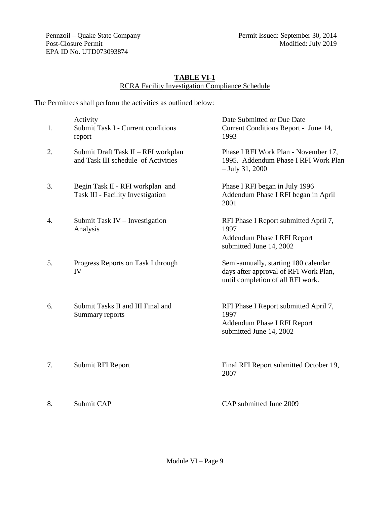Pennzoil – Quake State Company Post-Closure Permit EPA ID No. UTD073093874

#### **TABLE VI-1** RCRA Facility Investigation Compliance Schedule

The Permittees shall perform the activities as outlined below:

| 1. | <b>Activity</b><br>Submit Task I - Current conditions<br>report            | Date Submitted or Due Date<br>Current Conditions Report - June 14,<br>1993                                         |
|----|----------------------------------------------------------------------------|--------------------------------------------------------------------------------------------------------------------|
| 2. | Submit Draft Task II - RFI workplan<br>and Task III schedule of Activities | Phase I RFI Work Plan - November 17,<br>1995. Addendum Phase I RFI Work Plan<br>$-$ July 31, 2000                  |
| 3. | Begin Task II - RFI workplan and<br>Task III - Facility Investigation      | Phase I RFI began in July 1996<br>Addendum Phase I RFI began in April<br>2001                                      |
| 4. | Submit Task IV - Investigation<br>Analysis                                 | RFI Phase I Report submitted April 7,<br>1997<br>Addendum Phase I RFI Report<br>submitted June 14, 2002            |
| 5. | Progress Reports on Task I through<br>IV                                   | Semi-annually, starting 180 calendar<br>days after approval of RFI Work Plan,<br>until completion of all RFI work. |
| 6. | Submit Tasks II and III Final and<br>Summary reports                       | RFI Phase I Report submitted April 7,<br>1997<br>Addendum Phase I RFI Report<br>submitted June 14, 2002            |
| 7. | Submit RFI Report                                                          | Final RFI Report submitted October 19,<br>2007                                                                     |

Module VI – Page 9

8. Submit CAP CAP submitted June 2009